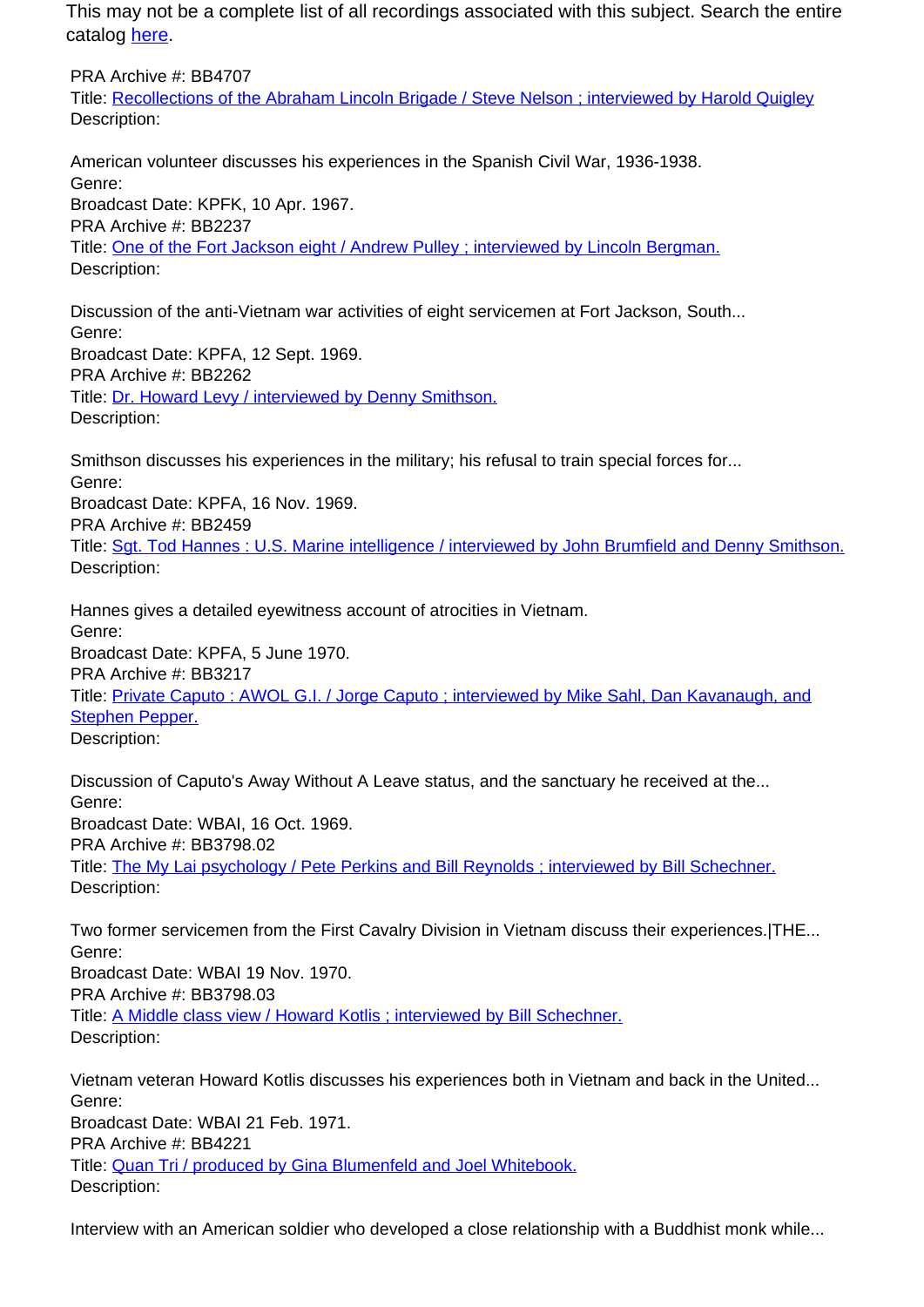PRA Archive #: BB4707 Title: Recollections of the Abraham Lincoln Brigade / Steve Nelson ; interviewed by Harold Quigley Description:

American volunteer discusses his experiences in the Spanish Civil War, 1936-1938. Genre: Broadcast Date: KPFK, 10 Apr. 1967. PRA Archive #: BB2237 Title: One of the Fort Jackson eight / Andrew Pulley ; interviewed by Lincoln Bergman. Description:

Discussion of the anti-Vietnam war activities of eight servicemen at Fort Jackson, South... Genre: Broadcast Date: KPFA, 12 Sept. 1969. PRA Archive #: BB2262 Title: Dr. Howard Levy / interviewed by Denny Smithson. Description:

Smithson discusses his experiences in the military; his refusal to train special forces for... Genre: Broadcast Date: KPFA, 16 Nov. 1969.

PRA Archive #: BB2459

Title: Sgt. Tod Hannes : U.S. Marine intelligence / interviewed by John Brumfield and Denny Smithson. Description:

Hannes gives a detailed eyewitness account of atrocities in Vietnam. Genre: Broadcast Date: KPFA, 5 June 1970. PRA Archive #: BB3217 Title: Private Caputo : AWOL G.I. / Jorge Caputo ; interviewed by Mike Sahl, Dan Kavanaugh, and Stephen Pepper. Description:

Discussion of Caputo's Away Without A Leave status, and the sanctuary he received at the... Genre: Broadcast Date: WBAI, 16 Oct. 1969. PRA Archive #: BB3798.02 Title: The My Lai psychology / Pete Perkins and Bill Reynolds ; interviewed by Bill Schechner. Description:

Two former servicemen from the First Cavalry Division in Vietnam discuss their experiences.|THE... Genre: Broadcast Date: WBAI 19 Nov. 1970. PRA Archive #: BB3798.03 Title: A Middle class view / Howard Kotlis ; interviewed by Bill Schechner. Description:

Vietnam veteran Howard Kotlis discusses his experiences both in Vietnam and back in the United... Genre: Broadcast Date: WBAI 21 Feb. 1971. PRA Archive #: BB4221 Title: Quan Tri / produced by Gina Blumenfeld and Joel Whitebook. Description:

Interview with an American soldier who developed a close relationship with a Buddhist monk while...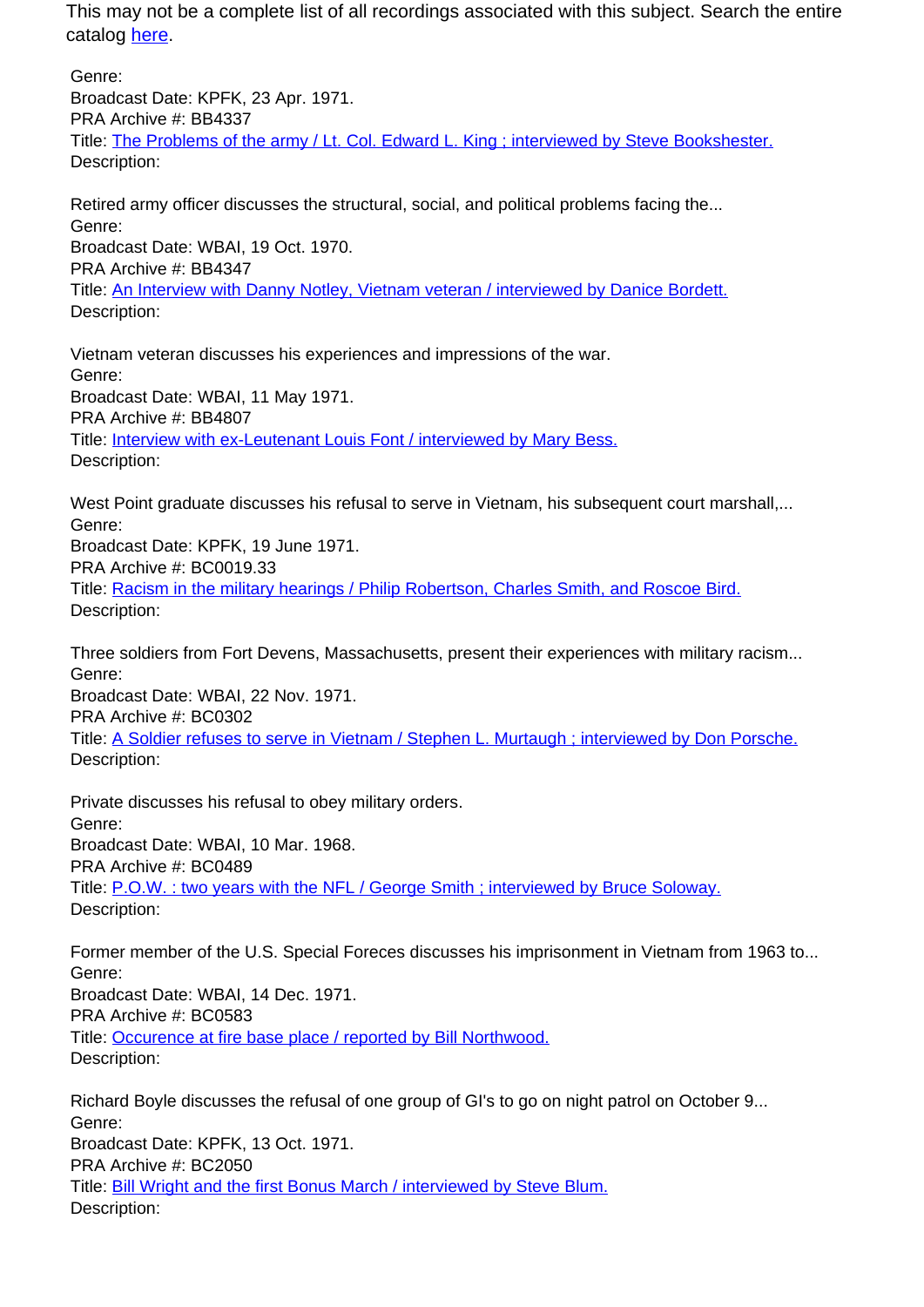Genre: Broadcast Date: KPFK, 23 Apr. 1971. PRA Archive #: BB4337 Title: The Problems of the army / Lt. Col. Edward L. King ; interviewed by Steve Bookshester. Description:

Retired army officer discusses the structural, social, and political problems facing the... Genre: Broadcast Date: WBAI, 19 Oct. 1970. PRA Archive #: BB4347 Title: An Interview with Danny Notley, Vietnam veteran / interviewed by Danice Bordett. Description:

Vietnam veteran discusses his experiences and impressions of the war. Genre: Broadcast Date: WBAI, 11 May 1971. PRA Archive #: BB4807 Title: Interview with ex-Leutenant Louis Font / interviewed by Mary Bess. Description:

West Point graduate discusses his refusal to serve in Vietnam, his subsequent court marshall.... Genre: Broadcast Date: KPFK, 19 June 1971. PRA Archive #: BC0019.33 Title: Racism in the military hearings / Philip Robertson, Charles Smith, and Roscoe Bird. Description:

Three soldiers from Fort Devens, Massachusetts, present their experiences with military racism... Genre: Broadcast Date: WBAI, 22 Nov. 1971. PRA Archive #: BC0302 Title: A Soldier refuses to serve in Vietnam / Stephen L. Murtaugh ; interviewed by Don Porsche. Description:

Private discusses his refusal to obey military orders. Genre: Broadcast Date: WBAI, 10 Mar. 1968. PRA Archive #: BC0489 Title: P.O.W. : two years with the NFL / George Smith ; interviewed by Bruce Soloway. Description:

Former member of the U.S. Special Foreces discusses his imprisonment in Vietnam from 1963 to... Genre: Broadcast Date: WBAI, 14 Dec. 1971. PRA Archive #: BC0583 Title: Occurence at fire base place / reported by Bill Northwood. Description:

Richard Boyle discusses the refusal of one group of GI's to go on night patrol on October 9... Genre: Broadcast Date: KPFK, 13 Oct. 1971. PRA Archive #: BC2050 Title: Bill Wright and the first Bonus March / interviewed by Steve Blum. Description: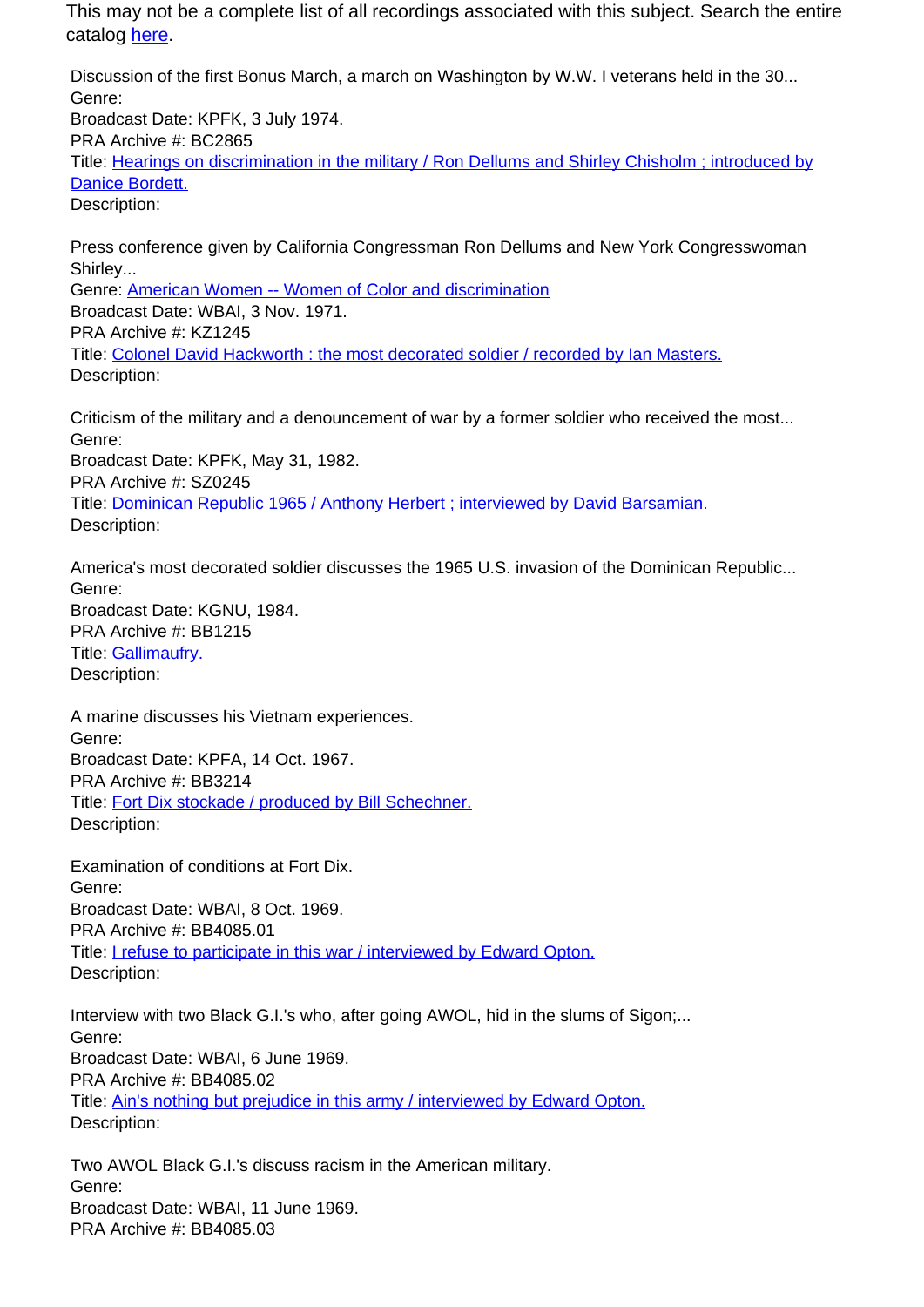Discussion of the first Bonus March, a march on Washington by W.W. I veterans held in the 30... Genre: Broadcast Date: KPFK, 3 July 1974. PRA Archive #: BC2865 Title: Hearings on discrimination in the military / Ron Dellums and Shirley Chisholm ; introduced by Danice Bordett. Description:

Press conference given by California Congressman Ron Dellums and New York Congresswoman Shirley... Genre: American Women -- Women of Color and discrimination Broadcast Date: WBAI, 3 Nov. 1971. PRA Archive #: KZ1245 Title: Colonel David Hackworth : the most decorated soldier / recorded by Ian Masters. Description:

Criticism of the military and a denouncement of war by a former soldier who received the most... Genre: Broadcast Date: KPFK, May 31, 1982. PRA Archive #: SZ0245 Title: Dominican Republic 1965 / Anthony Herbert ; interviewed by David Barsamian. Description:

America's most decorated soldier discusses the 1965 U.S. invasion of the Dominican Republic... Genre: Broadcast Date: KGNU, 1984. PRA Archive #: BB1215 Title: Gallimaufry. Description:

A marine discusses his Vietnam experiences. Genre: Broadcast Date: KPFA, 14 Oct. 1967. PRA Archive #: BB3214 Title: Fort Dix stockade / produced by Bill Schechner. Description:

Examination of conditions at Fort Dix. Genre: Broadcast Date: WBAI, 8 Oct. 1969. PRA Archive #: BB4085.01 Title: I refuse to participate in this war / interviewed by Edward Opton. Description:

Interview with two Black G.I.'s who, after going AWOL, hid in the slums of Sigon;... Genre: Broadcast Date: WBAI, 6 June 1969. PRA Archive #: BB4085.02 Title: Ain's nothing but prejudice in this army / interviewed by Edward Opton. Description:

Two AWOL Black G.I.'s discuss racism in the American military. Genre: Broadcast Date: WBAI, 11 June 1969. PRA Archive #: BB4085.03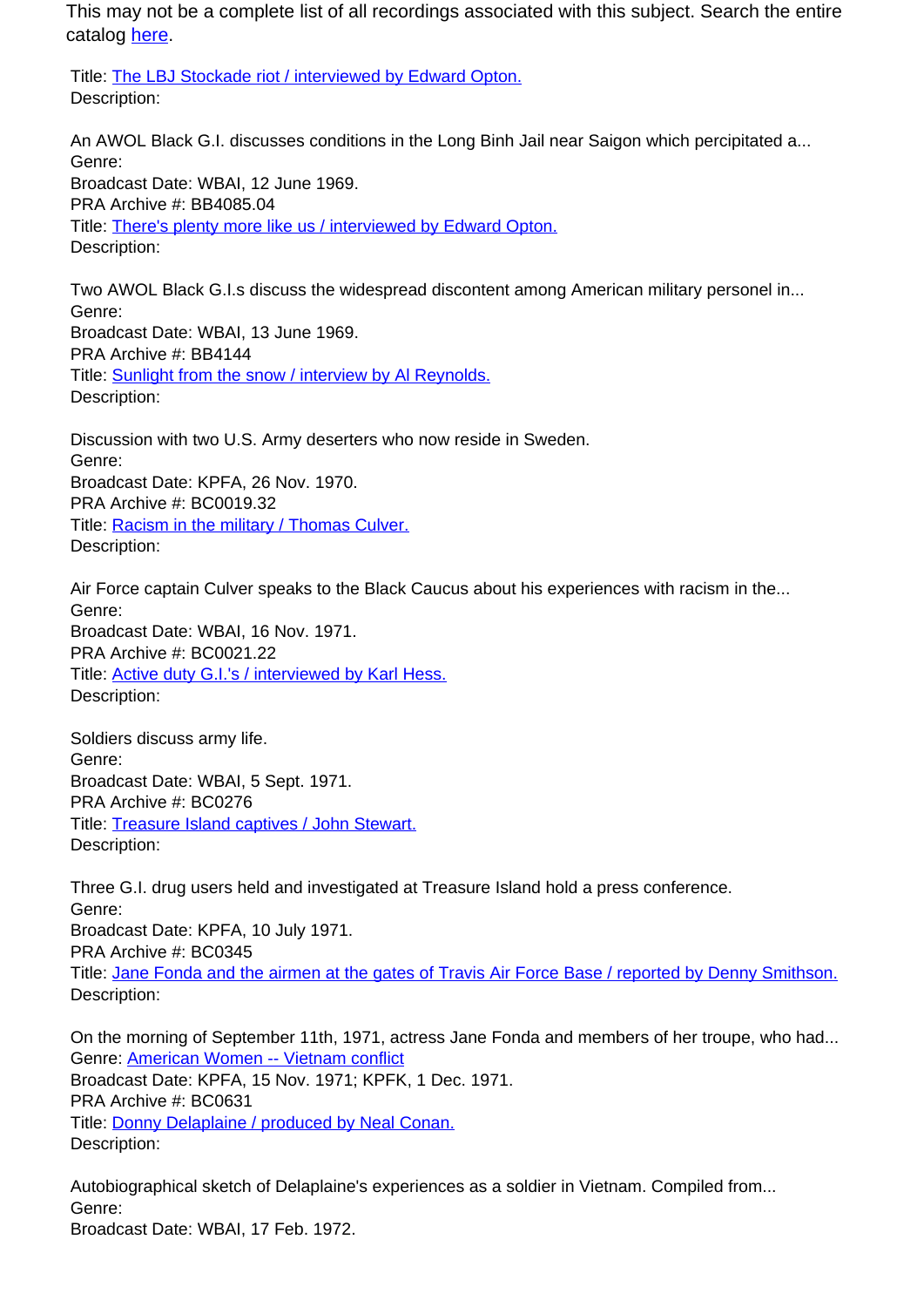Title: The LBJ Stockade riot / interviewed by Edward Opton. Description:

An AWOL Black G.I. discusses conditions in the Long Binh Jail near Saigon which percipitated a... Genre: Broadcast Date: WBAI, 12 June 1969. PRA Archive #: BB4085.04 Title: There's plenty more like us / interviewed by Edward Opton. Description:

Two AWOL Black G.I.s discuss the widespread discontent among American military personel in... Genre: Broadcast Date: WBAI, 13 June 1969. PRA Archive #: BB4144 Title: **Sunlight from the snow / interview by Al Reynolds.** Description:

Discussion with two U.S. Army deserters who now reside in Sweden. Genre: Broadcast Date: KPFA, 26 Nov. 1970. PRA Archive #: BC0019.32 Title: Racism in the military / Thomas Culver. Description:

Air Force captain Culver speaks to the Black Caucus about his experiences with racism in the... Genre: Broadcast Date: WBAI, 16 Nov. 1971. PRA Archive #: BC0021.22 Title: Active duty G.I.'s / interviewed by Karl Hess. Description:

Soldiers discuss army life. Genre: Broadcast Date: WBAI, 5 Sept. 1971. PRA Archive #: BC0276 Title: Treasure Island captives / John Stewart. Description:

Three G.I. drug users held and investigated at Treasure Island hold a press conference. Genre: Broadcast Date: KPFA, 10 July 1971. PRA Archive #: BC0345 Title: Jane Fonda and the airmen at the gates of Travis Air Force Base / reported by Denny Smithson. Description:

On the morning of September 11th, 1971, actress Jane Fonda and members of her troupe, who had... Genre: American Women -- Vietnam conflict Broadcast Date: KPFA, 15 Nov. 1971; KPFK, 1 Dec. 1971. PRA Archive #: BC0631 Title: Donny Delaplaine / produced by Neal Conan. Description:

Autobiographical sketch of Delaplaine's experiences as a soldier in Vietnam. Compiled from... Genre: Broadcast Date: WBAI, 17 Feb. 1972.